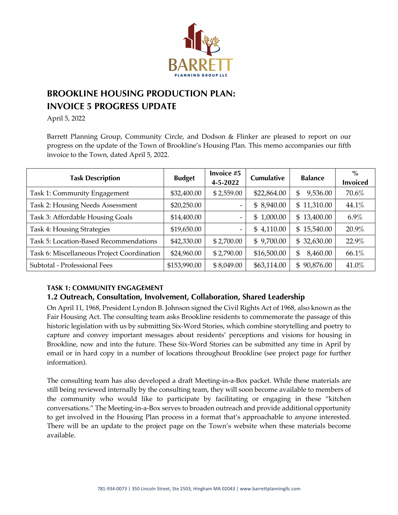

# **BROOKLINE HOUSING PRODUCTION PLAN: INVOICE 5 PROGRESS UPDATE**

April 5, 2022

Barrett Planning Group, Community Circle, and Dodson & Flinker are pleased to report on our progress on the update of the Town of Brookline's Housing Plan. This memo accompanies our fifth invoice to the Town, dated April 5, 2022.

| <b>Task Description</b>                    | <b>Budget</b> | Invoice #5<br>4-5-2022 | <b>Cumulative</b> | <b>Balance</b> | $\%$<br><b>Invoiced</b> |
|--------------------------------------------|---------------|------------------------|-------------------|----------------|-------------------------|
| Task 1: Community Engagement               | \$32,400.00   | \$2,559.00             | \$22,864.00       | 9,536.00<br>\$ | 70.6%                   |
| Task 2: Housing Needs Assessment           | \$20,250.00   | -                      | \$8,940.00        | \$11,310.00    | 44.1%                   |
| Task 3: Affordable Housing Goals           | \$14,400.00   | -                      | \$1,000.00        | \$13,400.00    | $6.9\%$                 |
| <b>Task 4: Housing Strategies</b>          | \$19,650.00   | -                      | \$4,110.00        | \$15,540.00    | 20.9%                   |
| Task 5: Location-Based Recommendations     | \$42,330.00   | \$2,700.00             | \$9,700.00        | \$32,630.00    | 22.9%                   |
| Task 6: Miscellaneous Project Coordination | \$24,960.00   | \$2,790.00             | \$16,500.00       | 8,460.00<br>\$ | 66.1%                   |
| Subtotal - Professional Fees               | \$153,990.00  | \$8,049.00             | \$63,114.00       | \$90,876.00    | 41.0%                   |

## **TASK 1: COMMUNITY ENGAGEMENT**

# **1.2 Outreach, Consultation, Involvement, Collaboration, Shared Leadership**

On April 11, 1968, President Lyndon B. Johnson signed the Civil Rights Act of 1968, also known as the Fair Housing Act. The consulting team asks Brookline residents to commemorate the passage of this historic legislation with us by submitting Six-Word Stories, which combine storytelling and poetry to capture and convey important messages about residents' perceptions and visions for housing in Brookline, now and into the future. These Six-Word Stories can be submitted any time in April by email or in hard copy in a number of locations throughout Brookline (see project page for further information).

The consulting team has also developed a draft Meeting-in-a-Box packet. While these materials are still being reviewed internally by the consulting team, they will soon become available to members of the community who would like to participate by facilitating or engaging in these "kitchen conversations." The Meeting-in-a-Box serves to broaden outreach and provide additional opportunity to get involved in the Housing Plan process in a format that's approachable to anyone interested. There will be an update to the project page on the Town's website when these materials become available.